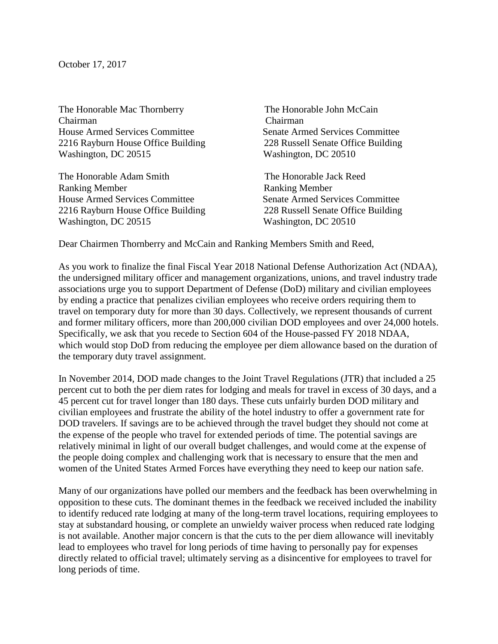October 17, 2017

The Honorable Mac Thornberry The Honorable John McCain Chairman Chairman House Armed Services Committee Senate Armed Services Committee [2216 Rayburn House Office Building 228 Russell Senate Office Building](x-apple-data-detectors://1/) [Washington, DC 20515](x-apple-data-detectors://1/) Washington, DC 20510

The Honorable Adam Smith The Honorable Jack Reed Ranking Member **Ranking Member** House Armed Services Committee Senate Armed Services Committee [2216 Rayburn House Office Building 228 Russell Senate Office Building](x-apple-data-detectors://2/) [Washington, DC 20515](x-apple-data-detectors://2/) Washington, DC 20510

Dear Chairmen Thornberry and McCain and Ranking Members Smith and Reed,

As you work to finalize the final Fiscal Year 2018 National Defense Authorization Act (NDAA), the undersigned military officer and management organizations, unions, and travel industry trade associations urge you to support Department of Defense (DoD) military and civilian employees by ending a practice that penalizes civilian employees who receive orders requiring them to travel on temporary duty for more than 30 days. Collectively, we represent thousands of current and former military officers, more than 200,000 civilian DOD employees and over 24,000 hotels. Specifically, we ask that you recede to Section 604 of the House-passed FY 2018 NDAA, which would stop DoD from reducing the employee per diem allowance based on the duration of the temporary duty travel assignment.

In November 2014, DOD made changes to the Joint Travel Regulations (JTR) that included a 25 percent cut to both the per diem rates for lodging and meals for travel in excess of 30 days, and a 45 percent cut for travel longer than 180 days. These cuts unfairly burden DOD military and civilian employees and frustrate the ability of the hotel industry to offer a government rate for DOD travelers. If savings are to be achieved through the travel budget they should not come at the expense of the people who travel for extended periods of time. The potential savings are relatively minimal in light of our overall budget challenges, and would come at the expense of the people doing complex and challenging work that is necessary to ensure that the men and women of the United States Armed Forces have everything they need to keep our nation safe.

Many of our organizations have polled our members and the feedback has been overwhelming in opposition to these cuts. The dominant themes in the feedback we received included the inability to identify reduced rate lodging at many of the long-term travel locations, requiring employees to stay at substandard housing, or complete an unwieldy waiver process when reduced rate lodging is not available. Another major concern is that the cuts to the per diem allowance will inevitably lead to employees who travel for long periods of time having to personally pay for expenses directly related to official travel; ultimately serving as a disincentive for employees to travel for long periods of time.